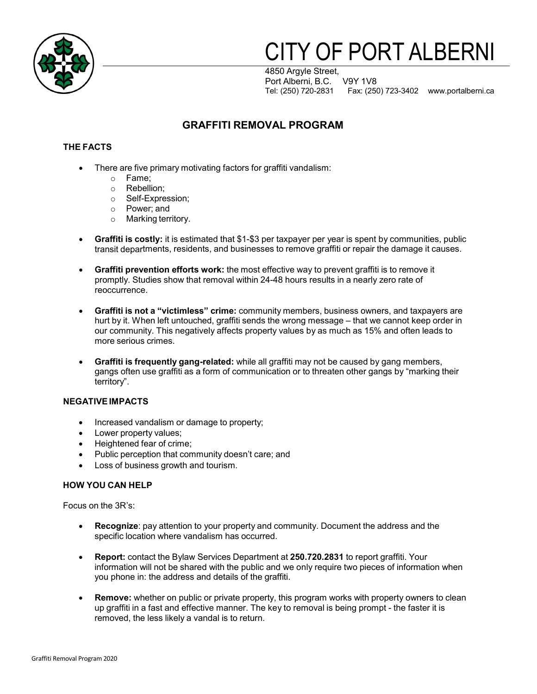

# **ITY OF PORT ALBERNI**

4850 Argyle Street, Port Alberni, B.C. V9Y 1V8 Tel: (250) 720-2831 Fax: (250) 723-3402 [www.portalberni.ca](http://www.portalberni.ca/)

## **GRAFFITI REMOVAL PROGRAM**

#### **THE FACTS**

- There are five primary motivating factors for graffiti vandalism:
	- o Fame;
	- o Rebellion;
	- o Self-Expression;
	- o Power; and
	- o Marking territory.
- **Graffiti is costly:** it is estimated that \$1-\$3 per taxpayer per year is spent by communities, public transit departments, residents, and businesses to remove graffiti or repair the damage it causes.
- **Graffiti prevention efforts work:** the most effective way to prevent graffiti is to remove it promptly. Studies show that removal within 24-48 hours results in a nearly zero rate of reoccurrence.
- **Graffiti is not a "victimless" crime:** community members, business owners, and taxpayers are hurt by it. When left untouched, graffiti sends the wrong message – that we cannot keep order in our community. This negatively affects property values by as much as 15% and often leads to more serious crimes.
- **Graffiti is frequently gang-related:** while all graffiti may not be caused by gang members, gangs often use graffiti as a form of communication or to threaten other gangs by "marking their territory".

#### **NEGATIVEIMPACTS**

- Increased vandalism or damage to property;
- Lower property values;
- Heightened fear of crime;
- Public perception that community doesn't care; and
- Loss of business growth and tourism.

#### **HOW YOU CAN HELP**

Focus on the 3R's:

- **Recognize**: pay attention to your property and community. Document the address and the specific location where vandalism has occurred.
- **Report:** contact the Bylaw Services Department at **250.720.2831** to report graffiti. Your information will not be shared with the public and we only require two pieces of information when you phone in: the address and details of the graffiti.
- **Remove:** whether on public or private property, this program works with property owners to clean up graffiti in a fast and effective manner. The key to removal is being prompt - the faster it is removed, the less likely a vandal is to return.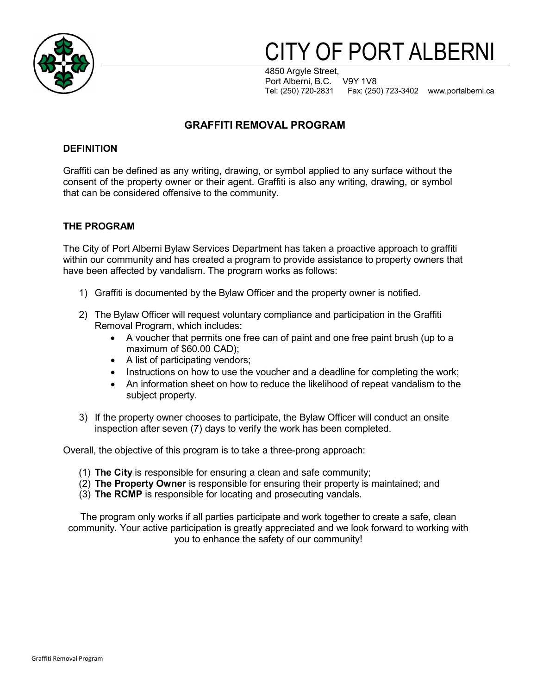

# TY OF PORT ALBERNI

4850 Argyle Street, Port Alberni, B.C. V9Y 1V8 Tel: (250) 720-2831 Fax: (250) 723-3402 [www.portalberni.ca](http://www.portalberni.ca/)

## **GRAFFITI REMOVAL PROGRAM**

#### **DEFINITION**

Graffiti can be defined as any writing, drawing, or symbol applied to any surface without the consent of the property owner or their agent. Graffiti is also any writing, drawing, or symbol that can be considered offensive to the community.

#### **THE PROGRAM**

The City of Port Alberni Bylaw Services Department has taken a proactive approach to graffiti within our community and has created a program to provide assistance to property owners that have been affected by vandalism. The program works as follows:

- 1) Graffiti is documented by the Bylaw Officer and the property owner is notified.
- 2) The Bylaw Officer will request voluntary compliance and participation in the Graffiti Removal Program, which includes:
	- A voucher that permits one free can of paint and one free paint brush (up to a maximum of \$60.00 CAD);
	- A list of participating vendors;
	- Instructions on how to use the voucher and a deadline for completing the work;
	- An information sheet on how to reduce the likelihood of repeat vandalism to the subject property.
- 3) If the property owner chooses to participate, the Bylaw Officer will conduct an onsite inspection after seven (7) days to verify the work has been completed.

Overall, the objective of this program is to take a three-prong approach:

- (1) **The City** is responsible for ensuring a clean and safe community;
- (2) **The Property Owner** is responsible for ensuring their property is maintained; and
- (3) **The RCMP** is responsible for locating and prosecuting vandals.

The program only works if all parties participate and work together to create a safe, clean community. Your active participation is greatly appreciated and we look forward to working with you to enhance the safety of our community!